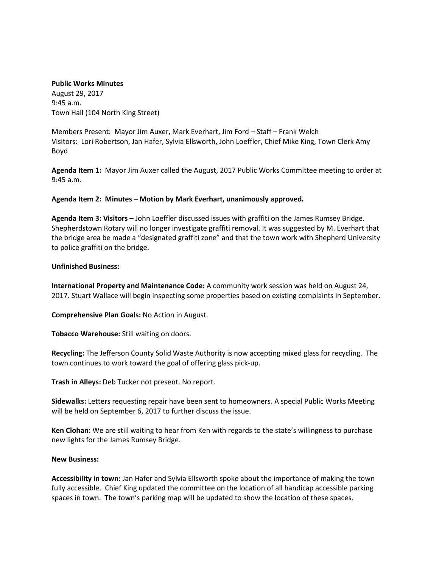# **Public Works Minutes** August 29, 2017 9:45 a.m. Town Hall (104 North King Street)

Members Present: Mayor Jim Auxer, Mark Everhart, Jim Ford – Staff – Frank Welch Visitors: Lori Robertson, Jan Hafer, Sylvia Ellsworth, John Loeffler, Chief Mike King, Town Clerk Amy Boyd

**Agenda Item 1:** Mayor Jim Auxer called the August, 2017 Public Works Committee meeting to order at 9:45 a.m.

## **Agenda Item 2: Minutes – Motion by Mark Everhart, unanimously approved.**

**Agenda Item 3: Visitors –** John Loeffler discussed issues with graffiti on the James Rumsey Bridge. Shepherdstown Rotary will no longer investigate graffiti removal. It was suggested by M. Everhart that the bridge area be made a "designated graffiti zone" and that the town work with Shepherd University to police graffiti on the bridge.

## **Unfinished Business:**

**International Property and Maintenance Code:** A community work session was held on August 24, 2017. Stuart Wallace will begin inspecting some properties based on existing complaints in September.

**Comprehensive Plan Goals:** No Action in August.

**Tobacco Warehouse:** Still waiting on doors.

**Recycling:** The Jefferson County Solid Waste Authority is now accepting mixed glass for recycling. The town continues to work toward the goal of offering glass pick-up.

**Trash in Alleys:** Deb Tucker not present. No report.

**Sidewalks:** Letters requesting repair have been sent to homeowners. A special Public Works Meeting will be held on September 6, 2017 to further discuss the issue.

**Ken Clohan:** We are still waiting to hear from Ken with regards to the state's willingness to purchase new lights for the James Rumsey Bridge.

## **New Business:**

**Accessibility in town:** Jan Hafer and Sylvia Ellsworth spoke about the importance of making the town fully accessible. Chief King updated the committee on the location of all handicap accessible parking spaces in town. The town's parking map will be updated to show the location of these spaces.